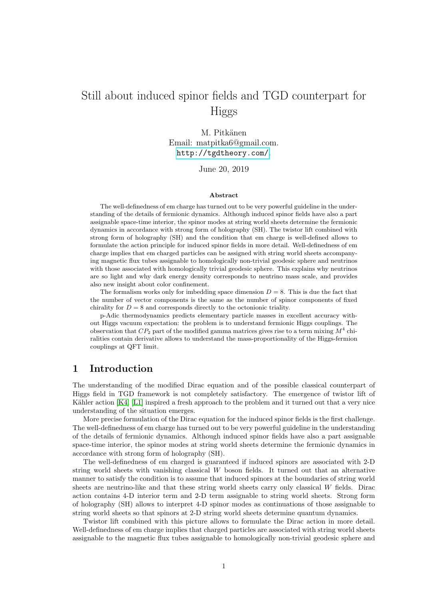## Still about induced spinor fields and TGD counterpart for Higgs

M. Pitkänen Email: matpitka6@gmail.com. <http://tgdtheory.com/>.

June 20, 2019

#### Abstract

The well-definedness of em charge has turned out to be very powerful guideline in the understanding of the details of fermionic dynamics. Although induced spinor fields have also a part assignable space-time interior, the spinor modes at string world sheets determine the fermionic dynamics in accordance with strong form of holography (SH). The twistor lift combined with strong form of holography (SH) and the condition that em charge is well-defined allows to formulate the action principle for induced spinor fields in more detail. Well-definedness of em charge implies that em charged particles can be assigned with string world sheets accompanying magnetic flux tubes assignable to homologically non-trivial geodesic sphere and neutrinos with those associated with homologically trivial geodesic sphere. This explains why neutrinos are so light and why dark energy density corresponds to neutrino mass scale, and provides also new insight about color confinement.

The formalism works only for imbedding space dimension  $D = 8$ . This is due the fact that the number of vector components is the same as the number of spinor components of fixed chirality for  $D = 8$  and corresponds directly to the octonionic triality.

p-Adic thermodynamics predicts elementary particle masses in excellent accuracy without Higgs vacuum expectation: the problem is to understand fermionic Higgs couplings. The observation that  $CP_2$  part of the modified gamma matrices gives rise to a term mixing  $M^4$  chiralities contain derivative allows to understand the mass-proportionality of the Higgs-fermion couplings at QFT limit.

#### 1 Introduction

The understanding of the modified Dirac equation and of the possible classical counterpart of Higgs field in TGD framework is not completely satisfactory. The emergence of twistor lift of Kähler action  $[K4]$  [\[L1\]](#page-6-1) inspired a fresh approach to the problem and it turned out that a very nice understanding of the situation emerges.

More precise formulation of the Dirac equation for the induced spinor fields is the first challenge. The well-definedness of em charge has turned out to be very powerful guideline in the understanding of the details of fermionic dynamics. Although induced spinor fields have also a part assignable space-time interior, the spinor modes at string world sheets determine the fermionic dynamics in accordance with strong form of holography (SH).

The well-definedness of em charged is guaranteed if induced spinors are associated with 2-D string world sheets with vanishing classical  $W$  boson fields. It turned out that an alternative manner to satisfy the condition is to assume that induced spinors at the boundaries of string world sheets are neutrino-like and that these string world sheets carry only classical  $W$  fields. Dirac action contains 4-D interior term and 2-D term assignable to string world sheets. Strong form of holography (SH) allows to interpret 4-D spinor modes as continuations of those assignable to string world sheets so that spinors at 2-D string world sheets determine quantum dynamics.

Twistor lift combined with this picture allows to formulate the Dirac action in more detail. Well-definedness of em charge implies that charged particles are associated with string world sheets assignable to the magnetic flux tubes assignable to homologically non-trivial geodesic sphere and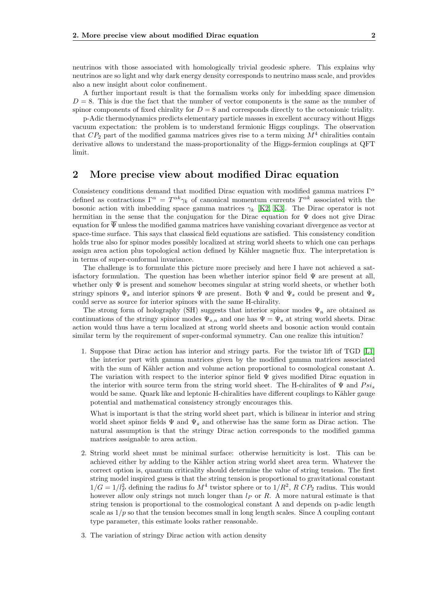neutrinos with those associated with homologically trivial geodesic sphere. This explains why neutrinos are so light and why dark energy density corresponds to neutrino mass scale, and provides also a new insight about color confinement.

A further important result is that the formalism works only for imbedding space dimension  $D = 8$ . This is due the fact that the number of vector components is the same as the number of spinor components of fixed chirality for  $D = 8$  and corresponds directly to the octonionic triality.

p-Adic thermodynamics predicts elementary particle masses in excellent accuracy without Higgs vacuum expectation: the problem is to understand fermionic Higgs couplings. The observation that  $CP_2$  part of the modified gamma matrices gives rise to a term mixing  $M^4$  chiralities contain derivative allows to understand the mass-proportionality of the Higgs-fermion couplings at QFT limit.

#### 2 More precise view about modified Dirac equation

Consistency conditions demand that modified Dirac equation with modified gamma matrices  $\Gamma^{\alpha}$ defined as contractions  $\Gamma^{\alpha} = T^{\alpha k} \gamma_k$  of canonical momentum currents  $T^{\alpha k}$  associated with the bosonic action with imbedding space gamma matrices  $\gamma_k$  [\[K2,](#page-6-2) [K3\]](#page-6-3). The Dirac operator is not hermitian in the sense that the conjugation for the Dirac equation for Ψ does not give Dirac equation for  $\overline{\Psi}$  unless the modified gamma matrices have vanishing covariant divergence as vector at space-time surface. This says that classical field equations are satisfied. This consistency condition holds true also for spinor modes possibly localized at string world sheets to which one can perhaps assign area action plus topological action defined by Kähler magnetic flux. The interpretation is in terms of super-conformal invariance.

The challenge is to formulate this picture more precisely and here I have not achieved a satisfactory formulation. The question has been whether interior spinor field  $\Psi$  are present at all, whether only  $\Psi$  is present and somehow becomes singular at string world sheets, or whether both stringy spinors  $\Psi_s$  and interior spinors  $\Psi$  are present. Both  $\Psi$  and  $\Psi_s$  could be present and  $\Psi_s$ could serve as source for interior spinors with the same H-chirality.

The strong form of holography (SH) suggests that interior spinor modes  $\Psi_n$  are obtained as continuations of the stringy spinor modes  $\Psi_{s,n}$  and one has  $\Psi = \Psi_s$  at string world sheets. Dirac action would thus have a term localized at strong world sheets and bosonic action would contain similar term by the requirement of super-conformal symmetry. Can one realize this intuition?

1. Suppose that Dirac action has interior and stringy parts. For the twistor lift of TGD [\[L1\]](#page-6-1) the interior part with gamma matrices given by the modified gamma matrices associated with the sum of Kähler action and volume action proportional to cosmological constant  $\Lambda$ . The variation with respect to the interior spinor field  $\Psi$  gives modified Dirac equation in the interior with source term from the string world sheet. The H-chiralites of  $\Psi$  and  $Psi$ would be same. Quark like and leptonic H-chiralities have different couplings to Kähler gauge potential and mathematical consistency strongly encourages this.

What is important is that the string world sheet part, which is bilinear in interior and string world sheet spinor fields  $\Psi$  and  $\Psi_s$  and otherwise has the same form as Dirac action. The natural assumption is that the stringy Dirac action corresponds to the modified gamma matrices assignable to area action.

- 2. String world sheet must be minimal surface: otherwise hermiticity is lost. This can be achieved either by adding to the Kähler action string world sheet area term. Whatever the correct option is, quantum criticality should determine the value of string tension. The first string model inspired guess is that the string tension is proportional to gravitational constant  $1/G = 1/l_P^2$  defining the radius fo  $M^4$  twistor sphere or to  $1/R^2$ , R  $CP_2$  radius. This would however allow only strings not much longer than  $l_P$  or R. A more natural estimate is that string tension is proportional to the cosmological constant  $\Lambda$  and depends on p-adic length scale as  $1/p$  so that the tension becomes small in long length scales. Since  $\Lambda$  coupling contant type parameter, this estimate looks rather reasonable.
- 3. The variation of stringy Dirac action with action density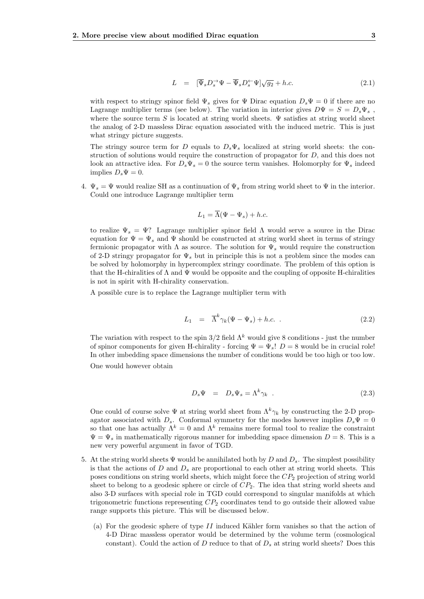$$
L = \left[\overline{\Psi}_s D_s^{\to} \Psi - \overline{\Psi}_s D_s^{\leftarrow} \Psi\right] \sqrt{g_2} + h.c.
$$
 (2.1)

with respect to stringy spinor field  $\Psi_s$  gives for  $\Psi$  Dirac equation  $D_s\Psi = 0$  if there are no Lagrange multiplier terms (see below). The variation in interior gives  $D\Psi = S = D_s \Psi_s$ , where the source term S is located at string world sheets.  $\Psi$  satisfies at string world sheet the analog of 2-D massless Dirac equation associated with the induced metric. This is just what stringy picture suggests.

The stringy source term for D equals to  $D_s\Psi_s$  localized at string world sheets: the construction of solutions would require the construction of propagator for D, and this does not look an attractive idea. For  $D_s\Psi_s = 0$  the source term vanishes. Holomorphy for  $\Psi_s$  indeed implies  $D_s \Psi = 0$ .

4.  $\Psi_s = \Psi$  would realize SH as a continuation of  $\Psi_s$  from string world sheet to  $\Psi$  in the interior. Could one introduce Lagrange multiplier term

$$
L_1 = \overline{\Lambda}(\Psi - \Psi_s) + h.c.
$$

to realize  $\Psi_s = \Psi$ ? Lagrange multiplier spinor field  $\Lambda$  would serve a source in the Dirac equation for  $\Psi = \Psi_s$  and  $\Psi$  should be constructed at string world sheet in terms of stringy fermionic propagator with  $\Lambda$  as source. The solution for  $\Psi_s$  would require the construction of 2-D stringy propagator for  $\Psi_s$  but in principle this is not a problem since the modes can be solved by holomorphy in hypercomplex stringy coordinate. The problem of this option is that the H-chiralities of  $\Lambda$  and  $\Psi$  would be opposite and the coupling of opposite H-chiralities is not in spirit with H-chirality conservation.

A possible cure is to replace the Lagrange multiplier term with

$$
L_1 = \overline{\Lambda}^k \gamma_k (\Psi - \Psi_s) + h.c. \tag{2.2}
$$

The variation with respect to the spin  $3/2$  field  $\Lambda^k$  would give 8 conditions - just the number of spinor components for given H-chirality - forcing  $\Psi = \Psi_s$ !  $D = 8$  would be in crucial role! In other imbedding space dimensions the number of conditions would be too high or too low.

One would however obtain

$$
D_s \Psi = D_s \Psi_s = \Lambda^k \gamma_k . \qquad (2.3)
$$

One could of course solve  $\Psi$  at string world sheet from  $\Lambda^k \gamma_k$  by constructing the 2-D propagator associated with  $D_s$ . Conformal symmetry for the modes however implies  $D_s\Psi = 0$ so that one has actually  $\Lambda^k = 0$  and  $\Lambda^k$  remains mere formal tool to realize the constraint  $\Psi = \Psi_s$  in mathematically rigorous manner for imbedding space dimension  $D = 8$ . This is a new very powerful argument in favor of TGD.

- 5. At the string world sheets  $\Psi$  would be annihilated both by D and  $D_s$ . The simplest possibility is that the actions of  $D$  and  $D_s$  are proportional to each other at string world sheets. This poses conditions on string world sheets, which might force the  $CP<sub>2</sub>$  projection of string world sheet to belong to a geodesic sphere or circle of  $CP<sub>2</sub>$ . The idea that string world sheets and also 3-D surfaces with special role in TGD could correspond to singular manifolds at which trigonometric functions representing  $CP_2$  coordinates tend to go outside their allowed value range supports this picture. This will be discussed below.
	- (a) For the geodesic sphere of type  $II$  induced Kähler form vanishes so that the action of 4-D Dirac massless operator would be determined by the volume term (cosmological constant). Could the action of D reduce to that of  $D_s$  at string world sheets? Does this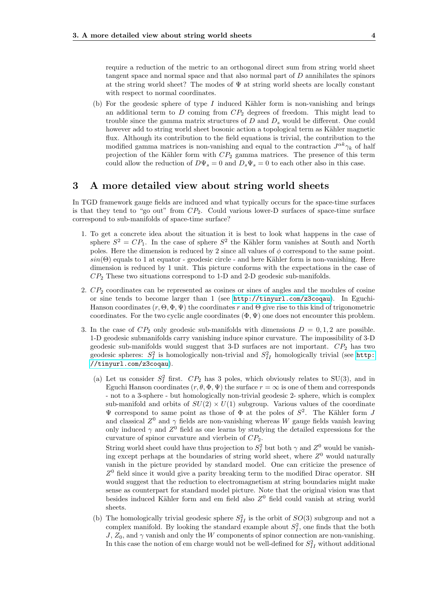require a reduction of the metric to an orthogonal direct sum from string world sheet tangent space and normal space and that also normal part of  $D$  annihilates the spinors at the string world sheet? The modes of  $\Psi$  at string world sheets are locally constant with respect to normal coordinates.

(b) For the geodesic sphere of type  $I$  induced Kähler form is non-vanishing and brings an additional term to  $D$  coming from  $CP_2$  degrees of freedom. This might lead to trouble since the gamma matrix structures of  $D$  and  $D<sub>s</sub>$  would be different. One could however add to string world sheet bosonic action a topological term as Kähler magnetic flux. Although its contribution to the field equations is trivial, the contribution to the modified gamma matrices is non-vanishing and equal to the contraction  $J^{\alpha k}\gamma_k$  of half projection of the Kähler form with  $CP_2$  gamma matrices. The presence of this term could allow the reduction of  $D\Psi_s = 0$  and  $D_s\Psi_s = 0$  to each other also in this case.

#### 3 A more detailed view about string world sheets

In TGD framework gauge fields are induced and what typically occurs for the space-time surfaces is that they tend to "go out" from  $CP_2$ . Could various lower-D surfaces of space-time surface correspond to sub-manifolds of space-time surface?

- 1. To get a concrete idea about the situation it is best to look what happens in the case of sphere  $S^2 = CP_1$ . In the case of sphere  $S^2$  the Kähler form vanishes at South and North poles. Here the dimension is reduced by 2 since all values of  $\phi$  correspond to the same point.  $sin(\Theta)$  equals to 1 at equator - geodesic circle - and here Kähler form is non-vanishing. Here dimension is reduced by 1 unit. This picture conforms with the expectations in the case of  $CP<sub>2</sub>$  These two situations correspond to 1-D and 2-D geodesic sub-manifolds.
- 2.  $CP<sub>2</sub>$  coordinates can be represented as cosines or sines of angles and the modules of cosine or sine tends to become larger than 1 (see <http://tinyurl.com/z3coqau>). In Eguchi-Hanson coordinates  $(r, \Theta, \Phi, \Psi)$  the coordinates r and  $\Theta$  give rise to this kind of trigonometric coordinates. For the two cyclic angle coordinates  $(\Phi, \Psi)$  one does not encounter this problem.
- 3. In the case of  $CP_2$  only geodesic sub-manifolds with dimensions  $D = 0, 1, 2$  are possible. 1-D geodesic submanifolds carry vanishing induce spinor curvature. The impossibility of 3-D geodesic sub-manifolds would suggest that 3-D surfaces are not important.  $CP<sub>2</sub>$  has two geodesic spheres:  $S_I^2$  is homologically non-trivial and  $S_{II}^2$  homologically trivial (see [http:](http://tinyurl.com/z3coqau) [//tinyurl.com/z3coqau](http://tinyurl.com/z3coqau)).
	- (a) Let us consider  $S_I^2$  first.  $CP_2$  has 3 poles, which obviously relates to SU(3), and in Eguchi Hanson coordinates  $(r, \theta, \Phi, \Psi)$  the surface  $r = \infty$  is one of them and corresponds - not to a 3-sphere - but homologically non-trivial geodesic 2- sphere, which is complex sub-manifold and orbits of  $SU(2) \times U(1)$  subgroup. Various values of the coordinate  $\Psi$  correspond to same point as those of  $\Phi$  at the poles of  $S^2$ . The Kähler form J and classical  $Z^0$  and  $\gamma$  fields are non-vanishing whereas W gauge fields vanish leaving only induced  $\gamma$  and  $Z^0$  field as one learns by studying the detailed expressions for the curvature of spinor curvature and vierbein of  $CP_2$ .

String world sheet could have thus projection to  $S_I^2$  but both  $\gamma$  and  $Z^0$  would be vanishing except perhaps at the boundaries of string world sheet, where  $Z<sup>0</sup>$  would naturally vanish in the picture provided by standard model. One can criticize the presence of  $Z<sup>0</sup>$  field since it would give a parity breaking term to the modified Dirac operator. SH would suggest that the reduction to electromagnetism at string boundaries might make sense as counterpart for standard model picture. Note that the original vision was that besides induced Kähler form and em field also  $Z<sup>0</sup>$  field could vanish at string world sheets.

(b) The homologically trivial geodesic sphere  $S_{II}^2$  is the orbit of  $SO(3)$  subgroup and not a complex manifold. By looking the standard example about  $S_I^2$ , one finds that the both  $J, Z_0$ , and  $\gamma$  vanish and only the W components of spinor connection are non-vanishing. In this case the notion of em charge would not be well-defined for  $S^2_{II}$  without additional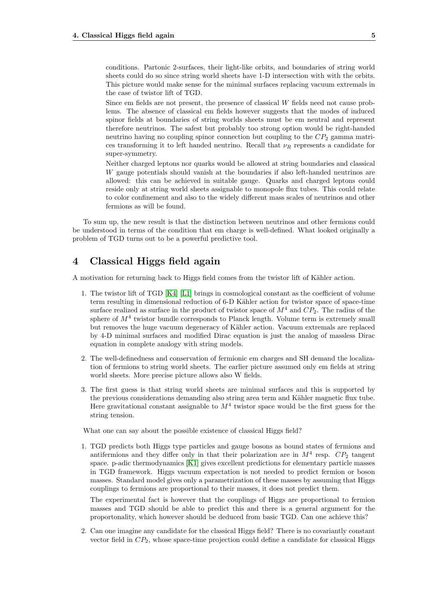conditions. Partonic 2-surfaces, their light-like orbits, and boundaries of string world sheets could do so since string world sheets have 1-D intersection with with the orbits. This picture would make sense for the minimal surfaces replacing vacuum extremals in the case of twistor lift of TGD.

Since em fields are not present, the presence of classical W fields need not cause problems. The absence of classical em fields however suggests that the modes of induced spinor fields at boundaries of string worlds sheets must be em neutral and represent therefore neutrinos. The safest but probably too strong option would be right-handed neutrino having no coupling spinor connection but coupling to the  $CP_2$  gamma matrices transforming it to left handed neutrino. Recall that  $\nu_R$  represents a candidate for super-symmetry.

Neither charged leptons nor quarks would be allowed at string boundaries and classical W gauge potentials should vanish at the boundaries if also left-handed neutrinos are allowed: this can be achieved in suitable gauge. Quarks and charged leptons could reside only at string world sheets assignable to monopole flux tubes. This could relate to color confinement and also to the widely different mass scales of neutrinos and other fermions as will be found.

To sum up, the new result is that the distinction between neutrinos and other fermions could be understood in terms of the condition that em charge is well-defined. What looked originally a problem of TGD turns out to be a powerful predictive tool.

### 4 Classical Higgs field again

A motivation for returning back to Higgs field comes from the twistor lift of Kähler action.

- 1. The twistor lift of TGD [\[K4\]](#page-6-0) [\[L1\]](#page-6-1) brings in cosmological constant as the coefficient of volume term resulting in dimensional reduction of 6-D Kähler action for twistor space of space-time surface realized as surface in the product of twistor space of  $M<sup>4</sup>$  and  $CP<sub>2</sub>$ . The radius of the sphere of  $M<sup>4</sup>$  twistor bundle corresponds to Planck length. Volume term is extremely small but removes the huge vacuum degeneracy of Kähler action. Vacuum extremals are replaced by 4-D minimal surfaces and modified Dirac equation is just the analog of massless Dirac equation in complete analogy with string models.
- 2. The well-definedness and conservation of fermionic em charges and SH demand the localization of fermions to string world sheets. The earlier picture assumed only em fields at string world sheets. More precise picture allows also W fields.
- 3. The first guess is that string world sheets are minimal surfaces and this is supported by the previous considerations demanding also string area term and Kähler magnetic flux tube. Here gravitational constant assignable to  $M<sup>4</sup>$  twistor space would be the first guess for the string tension.

What one can say about the possible existence of classical Higgs field?

1. TGD predicts both Higgs type particles and gauge bosons as bound states of fermions and antifermions and they differ only in that their polarization are in  $M^4$  resp.  $CP_2$  tangent space. p-adic thermodynamics [\[K1\]](#page-6-4) gives excellent predictions for elementary particle masses in TGD framework. Higgs vacuum expectation is not needed to predict fermion or boson masses. Standard model gives only a parametrization of these masses by assuming that Higgs couplings to fermions are proportional to their masses, it does not predict them.

The experimental fact is however that the couplings of Higgs are proportional to fermion masses and TGD should be able to predict this and there is a general argument for the proportonality, which however should be deduced from basic TGD. Can one achieve this?

2. Can one imagine any candidate for the classical Higgs field? There is no covariantly constant vector field in  $CP_2$ , whose space-time projection could define a candidate for classical Higgs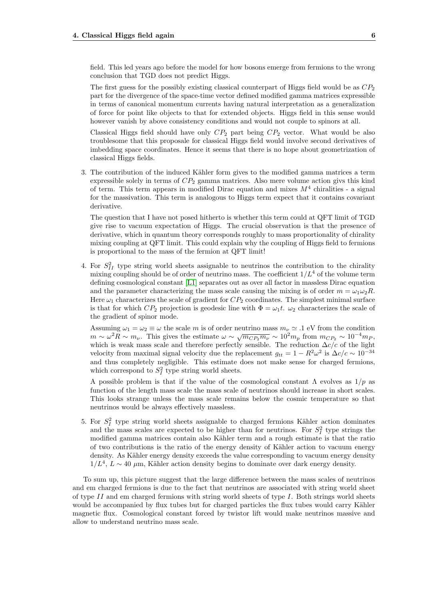field. This led years ago before the model for how bosons emerge from fermions to the wrong conclusion that TGD does not predict Higgs.

The first guess for the possibly existing classical counterpart of Higgs field would be as  $CP_2$ part for the divergence of the space-time vector defined modified gamma matrices expressible in terms of canonical momentum currents having natural interpretation as a generalization of force for point like objects to that for extended objects. Higgs field in this sense would however vanish by above consistency conditions and would not couple to spinors at all.

Classical Higgs field should have only  $CP_2$  part being  $CP_2$  vector. What would be also troublesome that this proposale for classical Higgs field would involve second derivatives of imbedding space coordinates. Hence it seems that there is no hope about geometrization of classical Higgs fields.

3. The contribution of the induced Kähler form gives to the modified gamma matrices a term expressible solely in terms of  $CP_2$  gamma matrices. Also mere volume action givs this kind of term. This term appears in modified Dirac equation and mixes  $M<sup>4</sup>$  chiralities - a signal for the massivation. This term is analogous to Higgs term expect that it contains covariant derivative.

The question that I have not posed hitherto is whether this term could at QFT limit of TGD give rise to vacuum expectation of Higgs. The crucial observation is that the presence of derivative, which in quantum theory corresponds roughly to mass proportionality of chirality mixing coupling at QFT limit. This could explain why the coupling of Higgs field to fermions is proportional to the mass of the fermion at QFT limit!

4. For  $S_{II}^2$  type string world sheets assignable to neutrinos the contribution to the chirality mixing coupling should be of order of neutrino mass. The coefficient  $1/L^4$  of the volume term defining cosmological constant [\[L1\]](#page-6-1) separates out as over all factor in massless Dirac equation and the parameter characterizing the mass scale causing the mixing is of order  $m = \omega_1 \omega_2 R$ . Here  $\omega_1$  characterizes the scale of gradient for  $CP_2$  coordinates. The simplest minimal surface is that for which  $CP_2$  projection is geodesic line with  $\Phi = \omega_1 t$ .  $\omega_2$  characterizes the scale of the gradient of spinor mode.

Assuming  $\omega_1 = \omega_2 \equiv \omega$  the scale m is of order neutrino mass  $m_{\nu} \simeq .1$  eV from the condition Assuming  $\omega_1 - \omega_2 = \omega$  and search is of order neutrino mass  $m_{\nu} = 0.1$  eV from the condition  $m \sim \omega^2 R \sim m_{\nu}$ . This gives the estimate  $\omega \sim \sqrt{m_{CP_2} m_{\nu}} \sim 10^2 m_p$  from  $m_{CP_2} \sim 10^{-4} m_p$ , which is weak mass scale and therefore perfectly sensible. The reduction  $\Delta c/c$  of the light velocity from maximal signal velocity due the replacement  $g_{tt} = 1 - R^2 \omega^2$  is  $\Delta c/c \sim 10^{-34}$ and thus completely negligible. This estimate does not make sense for charged fermions, which correspond to  $S_I^2$  type string world sheets.

A possible problem is that if the value of the cosmological constant  $\Lambda$  evolves as  $1/p$  as function of the length mass scale the mass scale of neutrinos should increase in short scales. This looks strange unless the mass scale remains below the cosmic temperature so that neutrinos would be always effectively massless.

5. For  $S_I^2$  type string world sheets assignable to charged fermions Kähler action dominates and the mass scales are expected to be higher than for neutrinos. For  $S_I^2$  type strings the modified gamma matrices contain also Kähler term and a rough estimate is that the ratio of two contributions is the ratio of the energy density of K¨ahler action to vacuum energy density. As Kähler energy density exceeds the value corresponding to vacuum energy density  $1/L<sup>4</sup>$ ,  $L \sim 40 \mu$ m, Kähler action density begins to dominate over dark energy density.

To sum up, this picture suggest that the large difference between the mass scales of neutrinos and em charged fermions is due to the fact that neutrinos are associated with string world sheet of type  $II$  and em charged fermions with string world sheets of type  $I$ . Both strings world sheets would be accompanied by flux tubes but for charged particles the flux tubes would carry Kähler magnetic flux. Cosmological constant forced by twistor lift would make neutrinos massive and allow to understand neutrino mass scale.